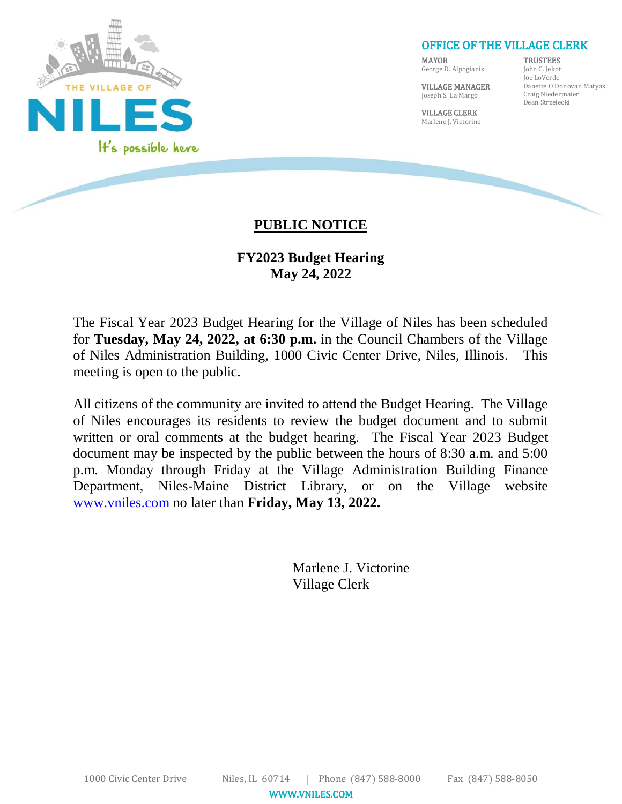

#### OFFICE OF THE VILLAGE CLERK

MAYOR George D. Alpogianis **TRUSTEES** 

VILLAGE MANAGER Joseph S. La Margo

VILLAGE CLERK

John C. Jekot Joe LoVerde Danette O'Donovan Matyas Craig Niedermaier Dean Strzelecki

Marlene J. Victorine

# **PUBLIC NOTICE**

## **FY2023 Budget Hearing May 24, 2022**

The Fiscal Year 2023 Budget Hearing for the Village of Niles has been scheduled for **Tuesday, May 24, 2022, at 6:30 p.m.** in the Council Chambers of the Village of Niles Administration Building, 1000 Civic Center Drive, Niles, Illinois. This meeting is open to the public.

All citizens of the community are invited to attend the Budget Hearing. The Village of Niles encourages its residents to review the budget document and to submit written or oral comments at the budget hearing. The Fiscal Year 2023 Budget document may be inspected by the public between the hours of 8:30 a.m. and 5:00 p.m. Monday through Friday at the Village Administration Building Finance Department, Niles-Maine District Library, or on the Village website [www.vniles.com](http://www.vniles.com/) no later than **Friday, May 13, 2022.**

> Marlene J. Victorine Village Clerk

WWW.VNILES.COM